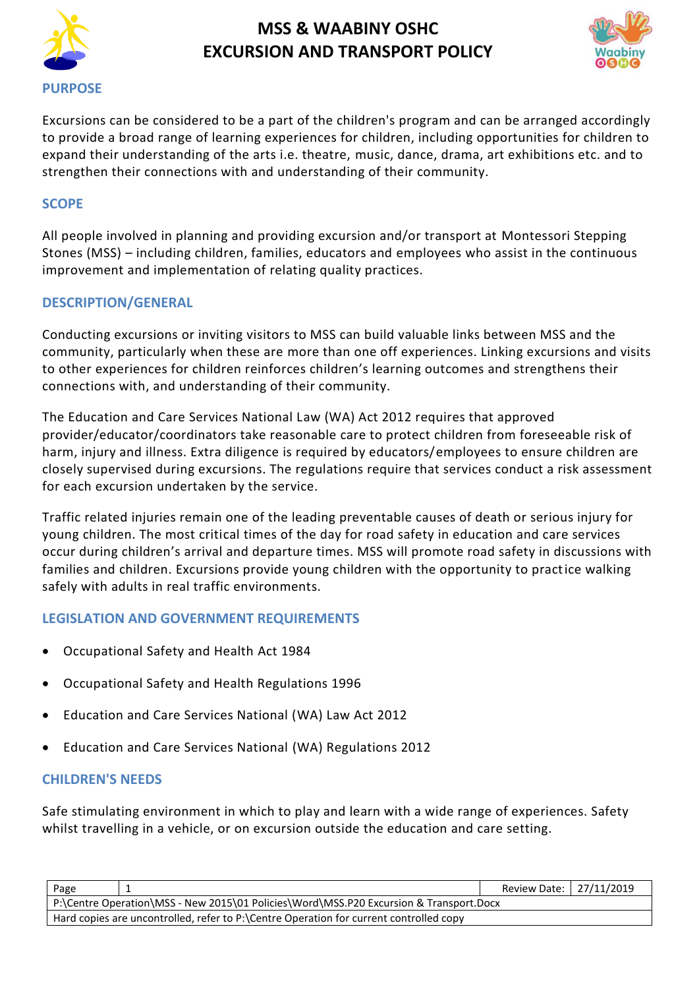



Excursions can be considered to be a part of the children's program and can be arranged accordingly to provide a broad range of learning experiences for children, including opportunities for children to expand their understanding of the arts i.e. theatre, music, dance, drama, art exhibitions etc. and to strengthen their connections with and understanding of their community.

### **SCOPE**

All people involved in planning and providing excursion and/or transport at Montessori Stepping Stones (MSS) – including children, families, educators and employees who assist in the continuous improvement and implementation of relating quality practices.

### **DESCRIPTION/GENERAL**

Conducting excursions or inviting visitors to MSS can build valuable links between MSS and the community, particularly when these are more than one off experiences. Linking excursions and visits to other experiences for children reinforces children's learning outcomes and strengthens their connections with, and understanding of their community.

The Education and Care Services National Law (WA) Act 2012 requires that approved provider/educator/coordinators take reasonable care to protect children from foreseeable risk of harm, injury and illness. Extra diligence is required by educators/employees to ensure children are closely supervised during excursions. The regulations require that services conduct a risk assessment for each excursion undertaken by the service.

Traffic related injuries remain one of the leading preventable causes of death or serious injury for young children. The most critical times of the day for road safety in education and care services occur during children's arrival and departure times. MSS will promote road safety in discussions with families and children. Excursions provide young children with the opportunity to practice walking safely with adults in real traffic environments.

### **LEGISLATION AND GOVERNMENT REQUIREMENTS**

- [Occupational Safety and Health](http://www.slp.wa.gov.au/legislation/agency.nsf/docep_main_mrtitle_4245_homepage.html) Act 1984
- [Occupational Safety and Health Regulations 1996](http://www.slp.wa.gov.au/legislation/agency.nsf/docep_main_mrtitle_12516_homepage.html)
- Education and Care Services National (WA) Law Act 2012
- Education and Care Services National (WA) Regulations 2012

### **CHILDREN'S NEEDS**

Safe stimulating environment in which to play and learn with a wide range of experiences. Safety whilst travelling in a vehicle, or on excursion outside the education and care setting.

| Page                                                                                   |  | Review Date: 27/11/2019 |  |  |
|----------------------------------------------------------------------------------------|--|-------------------------|--|--|
| P:\Centre Operation\MSS - New 2015\01 Policies\Word\MSS.P20 Excursion & Transport.Docx |  |                         |  |  |
| Hard copies are uncontrolled, refer to P:\Centre Operation for current controlled copy |  |                         |  |  |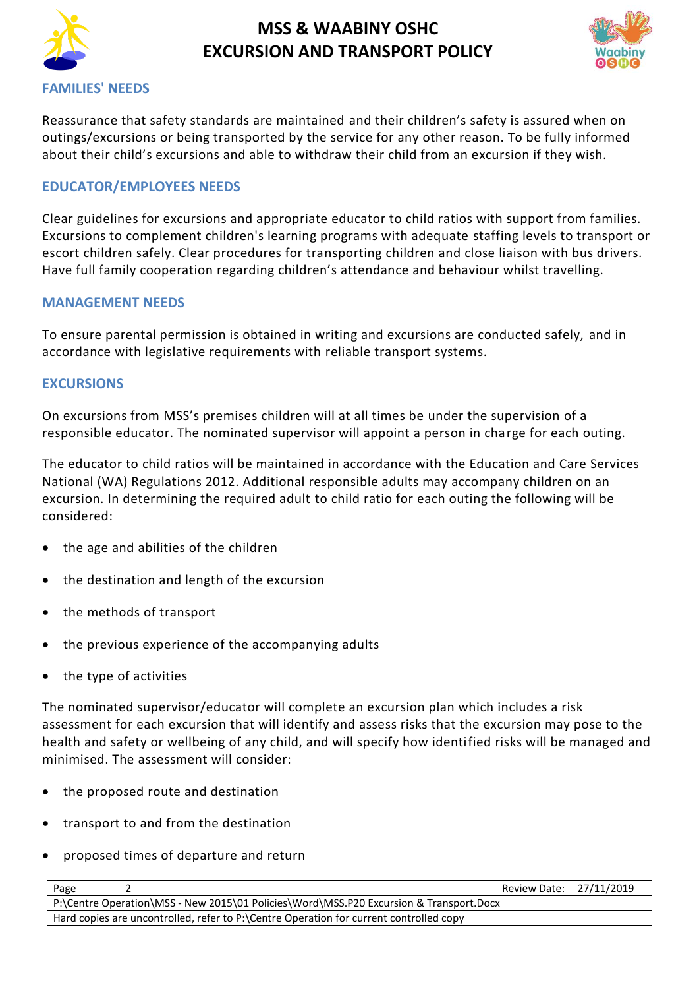



#### **FAMILIES' NEEDS**

Reassurance that safety standards are maintained and their children's safety is assured when on outings/excursions or being transported by the service for any other reason. To be fully informed about their child's excursions and able to withdraw their child from an excursion if they wish.

#### **EDUCATOR/EMPLOYEES NEEDS**

Clear guidelines for excursions and appropriate educator to child ratios with support from families. Excursions to complement children's learning programs with adequate staffing levels to transport or escort children safely. Clear procedures for transporting children and close liaison with bus drivers. Have full family cooperation regarding children's attendance and behaviour whilst travelling.

#### **MANAGEMENT NEEDS**

To ensure parental permission is obtained in writing and excursions are conducted safely, and in accordance with legislative requirements with reliable transport systems.

#### **EXCURSIONS**

On excursions from MSS's premises children will at all times be under the supervision of a responsible educator. The nominated supervisor will appoint a person in charge for each outing.

The educator to child ratios will be maintained in accordance with the Education and Care Services National (WA) Regulations 2012. Additional responsible adults may accompany children on an excursion. In determining the required adult to child ratio for each outing the following will be considered:

- the age and abilities of the children
- the destination and length of the excursion
- the methods of transport
- the previous experience of the accompanying adults
- the type of activities

The nominated supervisor/educator will complete an excursion plan which includes a risk assessment for each excursion that will identify and assess risks that the excursion may pose to the health and safety or wellbeing of any child, and will specify how identified risks will be managed and minimised. The assessment will consider:

- the proposed route and destination
- transport to and from the destination
- proposed times of departure and return

| Page                                                                                   |  | Review Date:   27/11/2019 |  |  |
|----------------------------------------------------------------------------------------|--|---------------------------|--|--|
| P:\Centre Operation\MSS - New 2015\01 Policies\Word\MSS.P20 Excursion & Transport.Docx |  |                           |  |  |
| Hard copies are uncontrolled, refer to P:\Centre Operation for current controlled copy |  |                           |  |  |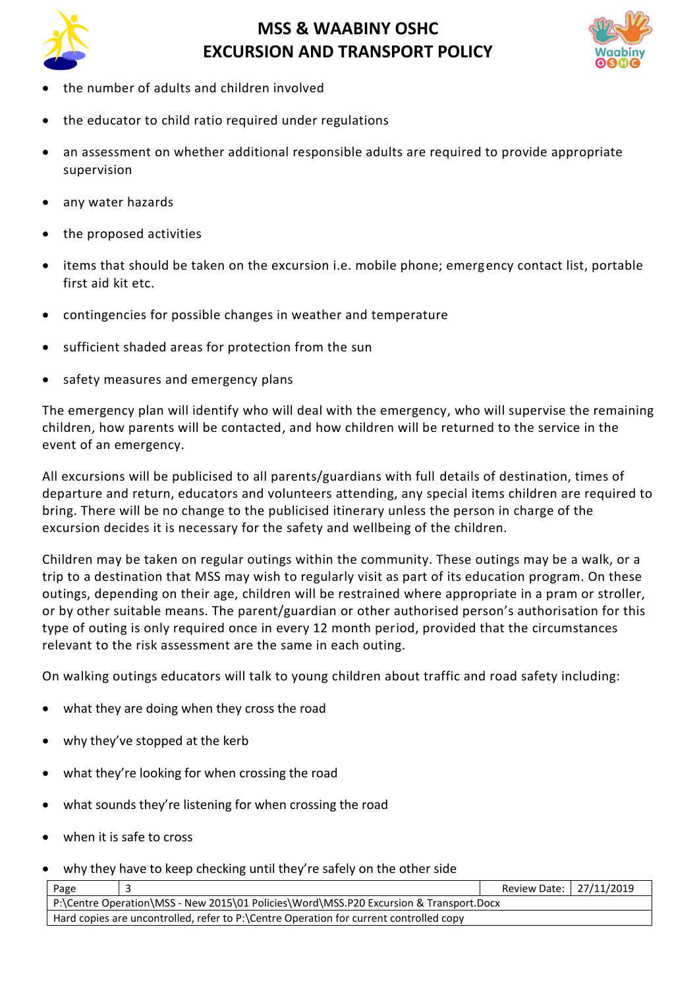



- the number of adults and children involved
- the educator to child ratio required under regulations
- an assessment on whether additional responsible adults are required to provide appropriate supervision
- any water hazards
- the proposed activities
- items that should be taken on the excursion i.e. mobile phone; emergency contact list, portable first aid kit etc.
- contingencies for possible changes in weather and temperature
- sufficient shaded areas for protection from the sun
- safety measures and emergency plans

The emergency plan will identify who will deal with the emergency, who will supervise the remaining children, how parents will be contacted, and how children will be returned to the service in the event of an emergency.

All excursions will be publicised to all parents/guardians with full details of destination, times of departure and return, educators and volunteers attending, any special items children are required to bring. There will be no change to the publicised itinerary unless the person in charge of the excursion decides it is necessary for the safety and wellbeing of the children.

Children may be taken on regular outings within the community. These outings may be a walk, or a trip to a destination that MSS may wish to regularly visit as part of its education program. On these outings, depending on their age, children will be restrained where appropriate in a pram or stroller, or by other suitable means. The parent/guardian or other authorised person's authorisation for this type of outing is only required once in every 12 month period, provided that the circumstances relevant to the risk assessment are the same in each outing.

On walking outings educators will talk to young children about traffic and road safety including:

- what they are doing when they cross the road
- why they've stopped at the kerb
- what they're looking for when crossing the road
- what sounds they're listening for when crossing the road
- when it is safe to cross
- why they have to keep checking until they're safely on the other side

| Page                                                                                   |  | Review Date: 27/11/2019 |  |  |
|----------------------------------------------------------------------------------------|--|-------------------------|--|--|
| P:\Centre Operation\MSS - New 2015\01 Policies\Word\MSS.P20 Excursion & Transport.Docx |  |                         |  |  |
| Hard copies are uncontrolled, refer to P:\Centre Operation for current controlled copy |  |                         |  |  |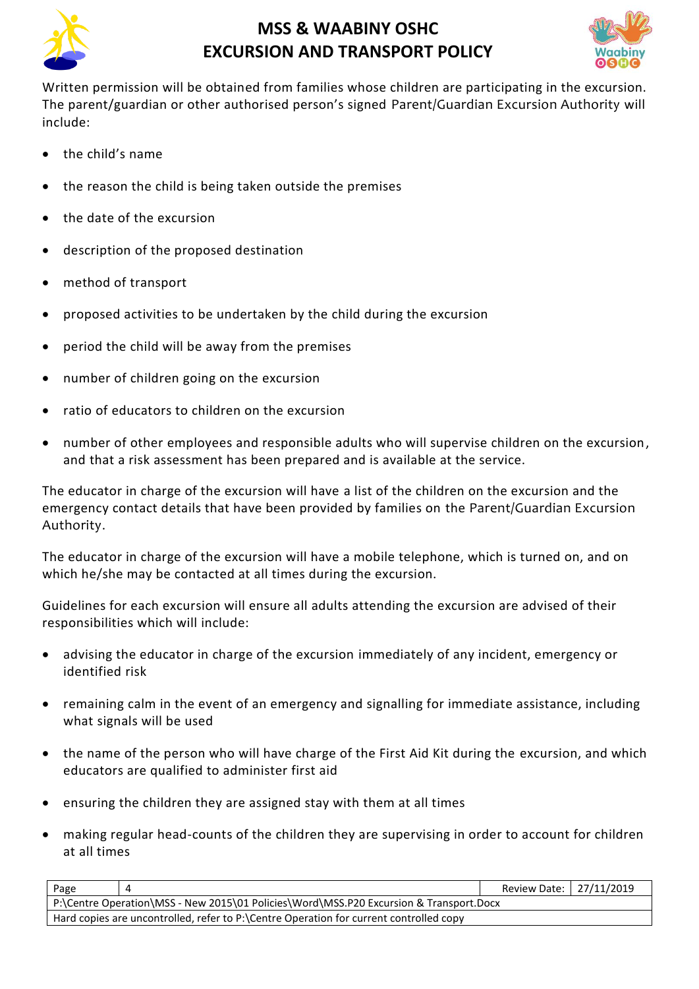



Written permission will be obtained from families whose children are participating in the excursion. The parent/guardian or other authorised person's signed Parent/Guardian Excursion Authority will include:

- the child's name
- the reason the child is being taken outside the premises
- the date of the excursion
- description of the proposed destination
- method of transport
- proposed activities to be undertaken by the child during the excursion
- period the child will be away from the premises
- number of children going on the excursion
- ratio of educators to children on the excursion
- number of other employees and responsible adults who will supervise children on the excursion, and that a risk assessment has been prepared and is available at the service.

The educator in charge of the excursion will have a list of the children on the excursion and the emergency contact details that have been provided by families on the Parent/Guardian Excursion Authority.

The educator in charge of the excursion will have a mobile telephone, which is turned on, and on which he/she may be contacted at all times during the excursion.

Guidelines for each excursion will ensure all adults attending the excursion are advised of their responsibilities which will include:

- advising the educator in charge of the excursion immediately of any incident, emergency or identified risk
- remaining calm in the event of an emergency and signalling for immediate assistance, including what signals will be used
- the name of the person who will have charge of the First Aid Kit during the excursion, and which educators are qualified to administer first aid
- ensuring the children they are assigned stay with them at all times
- making regular head-counts of the children they are supervising in order to account for children at all times

| Page                                                                                   |  | Review Date:   27/11/2019 |  |  |
|----------------------------------------------------------------------------------------|--|---------------------------|--|--|
| P:\Centre Operation\MSS - New 2015\01 Policies\Word\MSS.P20 Excursion & Transport.Docx |  |                           |  |  |
| Hard copies are uncontrolled, refer to P:\Centre Operation for current controlled copy |  |                           |  |  |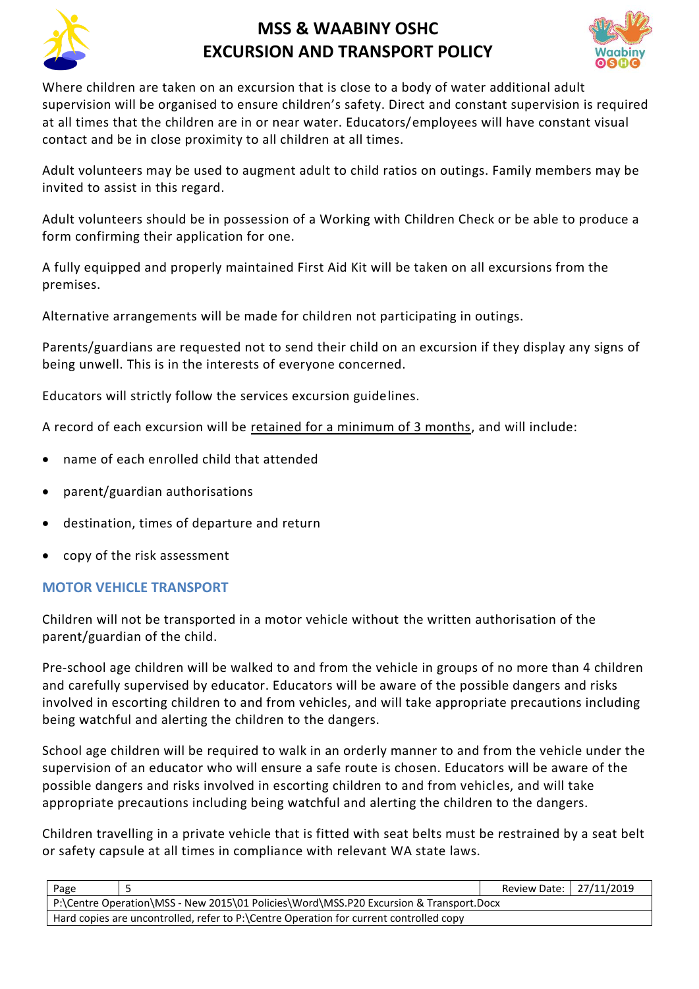



Where children are taken on an excursion that is close to a body of water additional adult supervision will be organised to ensure children's safety. Direct and constant supervision is required at all times that the children are in or near water. Educators/employees will have constant visual contact and be in close proximity to all children at all times.

Adult volunteers may be used to augment adult to child ratios on outings. Family members may be invited to assist in this regard.

Adult volunteers should be in possession of a Working with Children Check or be able to produce a form confirming their application for one.

A fully equipped and properly maintained First Aid Kit will be taken on all excursions from the premises.

Alternative arrangements will be made for children not participating in outings.

Parents/guardians are requested not to send their child on an excursion if they display any signs of being unwell. This is in the interests of everyone concerned.

Educators will strictly follow the services excursion guidelines.

A record of each excursion will be retained for a minimum of 3 months, and will include:

- name of each enrolled child that attended
- parent/guardian authorisations
- destination, times of departure and return
- copy of the risk assessment

## **MOTOR VEHICLE TRANSPORT**

Children will not be transported in a motor vehicle without the written authorisation of the parent/guardian of the child.

Pre-school age children will be walked to and from the vehicle in groups of no more than 4 children and carefully supervised by educator. Educators will be aware of the possible dangers and risks involved in escorting children to and from vehicles, and will take appropriate precautions including being watchful and alerting the children to the dangers.

School age children will be required to walk in an orderly manner to and from the vehicle under the supervision of an educator who will ensure a safe route is chosen. Educators will be aware of the possible dangers and risks involved in escorting children to and from vehicles, and will take appropriate precautions including being watchful and alerting the children to the dangers.

Children travelling in a private vehicle that is fitted with seat belts must be restrained by a seat belt or safety capsule at all times in compliance with relevant WA state laws.

| Page                                                                                   |  | Review Date: 27/11/2019 |  |  |
|----------------------------------------------------------------------------------------|--|-------------------------|--|--|
| P:\Centre Operation\MSS - New 2015\01 Policies\Word\MSS.P20 Excursion & Transport.Docx |  |                         |  |  |
| Hard copies are uncontrolled, refer to P:\Centre Operation for current controlled copy |  |                         |  |  |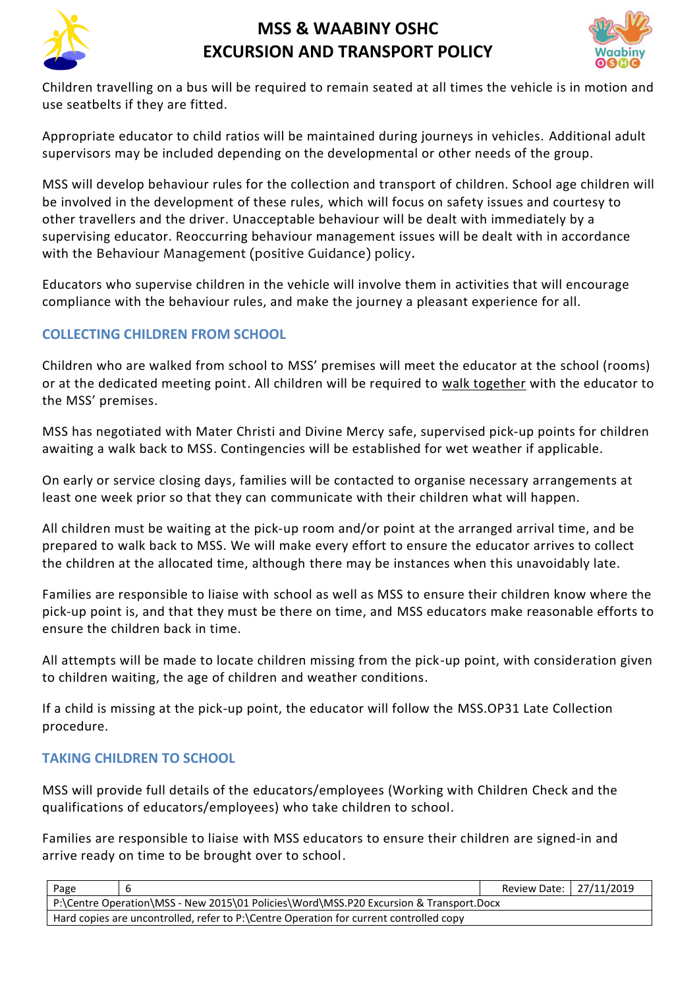



Children travelling on a bus will be required to remain seated at all times the vehicle is in motion and use seatbelts if they are fitted.

Appropriate educator to child ratios will be maintained during journeys in vehicles. Additional adult supervisors may be included depending on the developmental or other needs of the group.

MSS will develop behaviour rules for the collection and transport of children. School age children will be involved in the development of these rules, which will focus on safety issues and courtesy to other travellers and the driver. Unacceptable behaviour will be dealt with immediately by a supervising educator. Reoccurring behaviour management issues will be dealt with in accordance with the Behaviour Management (positive Guidance) policy.

Educators who supervise children in the vehicle will involve them in activities that will encourage compliance with the behaviour rules, and make the journey a pleasant experience for all.

## **COLLECTING CHILDREN FROM SCHOOL**

Children who are walked from school to MSS' premises will meet the educator at the school (rooms) or at the dedicated meeting point. All children will be required to walk together with the educator to the MSS' premises.

MSS has negotiated with Mater Christi and Divine Mercy safe, supervised pick-up points for children awaiting a walk back to MSS. Contingencies will be established for wet weather if applicable.

On early or service closing days, families will be contacted to organise necessary arrangements at least one week prior so that they can communicate with their children what will happen.

All children must be waiting at the pick-up room and/or point at the arranged arrival time, and be prepared to walk back to MSS. We will make every effort to ensure the educator arrives to collect the children at the allocated time, although there may be instances when this unavoidably late.

Families are responsible to liaise with school as well as MSS to ensure their children know where the pick-up point is, and that they must be there on time, and MSS educators make reasonable efforts to ensure the children back in time.

All attempts will be made to locate children missing from the pick-up point, with consideration given to children waiting, the age of children and weather conditions.

If a child is missing at the pick-up point, the educator will follow the MSS.OP31 Late Collection procedure.

## **TAKING CHILDREN TO SCHOOL**

MSS will provide full details of the educators/employees (Working with Children Check and the qualifications of educators/employees) who take children to school.

Families are responsible to liaise with MSS educators to ensure their children are signed-in and arrive ready on time to be brought over to school.

| Page                                                                                   |  | Review Date:   27/11/2019 |  |  |
|----------------------------------------------------------------------------------------|--|---------------------------|--|--|
| P:\Centre Operation\MSS - New 2015\01 Policies\Word\MSS.P20 Excursion & Transport.Docx |  |                           |  |  |
| Hard copies are uncontrolled, refer to P:\Centre Operation for current controlled copy |  |                           |  |  |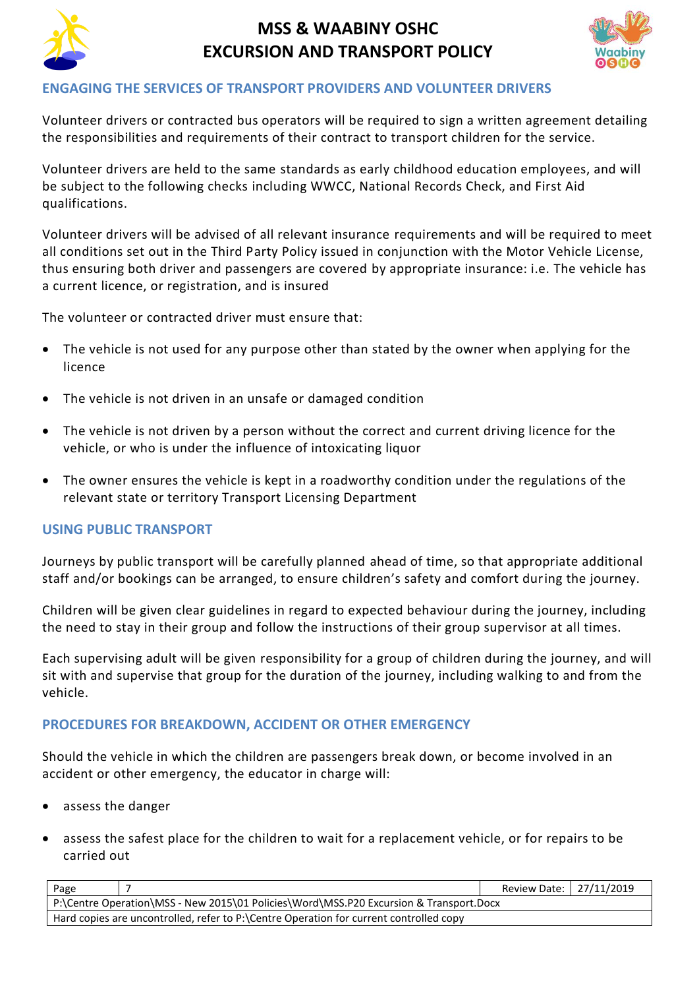



#### **ENGAGING THE SERVICES OF TRANSPORT PROVIDERS AND VOLUNTEER DRIVERS**

Volunteer drivers or contracted bus operators will be required to sign a written agreement detailing the responsibilities and requirements of their contract to transport children for the service.

Volunteer drivers are held to the same standards as early childhood education employees, and will be subject to the following checks including WWCC, National Records Check, and First Aid qualifications.

Volunteer drivers will be advised of all relevant insurance requirements and will be required to meet all conditions set out in the Third Party Policy issued in conjunction with the Motor Vehicle License, thus ensuring both driver and passengers are covered by appropriate insurance: i.e. The vehicle has a current licence, or registration, and is insured

The volunteer or contracted driver must ensure that:

- The vehicle is not used for any purpose other than stated by the owner when applying for the licence
- The vehicle is not driven in an unsafe or damaged condition
- The vehicle is not driven by a person without the correct and current driving licence for the vehicle, or who is under the influence of intoxicating liquor
- The owner ensures the vehicle is kept in a roadworthy condition under the regulations of the relevant state or territory Transport Licensing Department

### **USING PUBLIC TRANSPORT**

Journeys by public transport will be carefully planned ahead of time, so that appropriate additional staff and/or bookings can be arranged, to ensure children's safety and comfort during the journey.

Children will be given clear guidelines in regard to expected behaviour during the journey, including the need to stay in their group and follow the instructions of their group supervisor at all times.

Each supervising adult will be given responsibility for a group of children during the journey, and will sit with and supervise that group for the duration of the journey, including walking to and from the vehicle.

### **PROCEDURES FOR BREAKDOWN, ACCIDENT OR OTHER EMERGENCY**

Should the vehicle in which the children are passengers break down, or become involved in an accident or other emergency, the educator in charge will:

- assess the danger
- assess the safest place for the children to wait for a replacement vehicle, or for repairs to be carried out

| Page                                                                                   |  | Review Date:   27/11/2019 |  |  |
|----------------------------------------------------------------------------------------|--|---------------------------|--|--|
| P:\Centre Operation\MSS - New 2015\01 Policies\Word\MSS.P20 Excursion & Transport.Docx |  |                           |  |  |
| Hard copies are uncontrolled, refer to P:\Centre Operation for current controlled copy |  |                           |  |  |